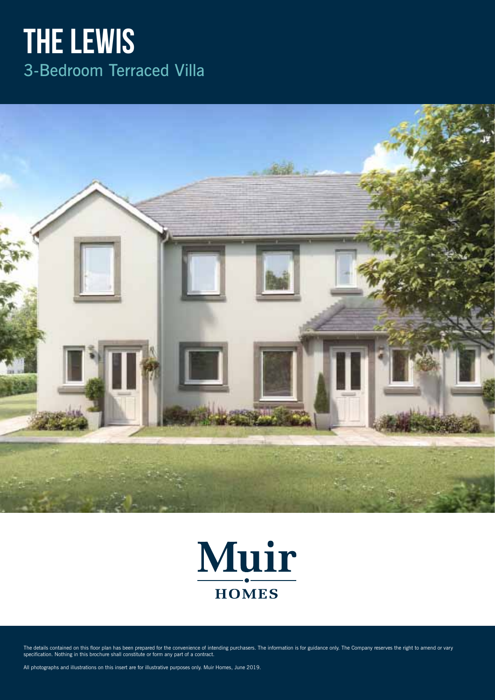## **The LEWIS** 3-Bedroom Terraced Villa





The details contained on this floor plan has been prepared for the convenience of intending purchasers. The information is for guidance only. The Company reserves the right to amend or vary specification. Nothing in this brochure shall constitute or form any part of a contract.

All photographs and illustrations on this insert are for illustrative purposes only. Muir Homes, June 2019.